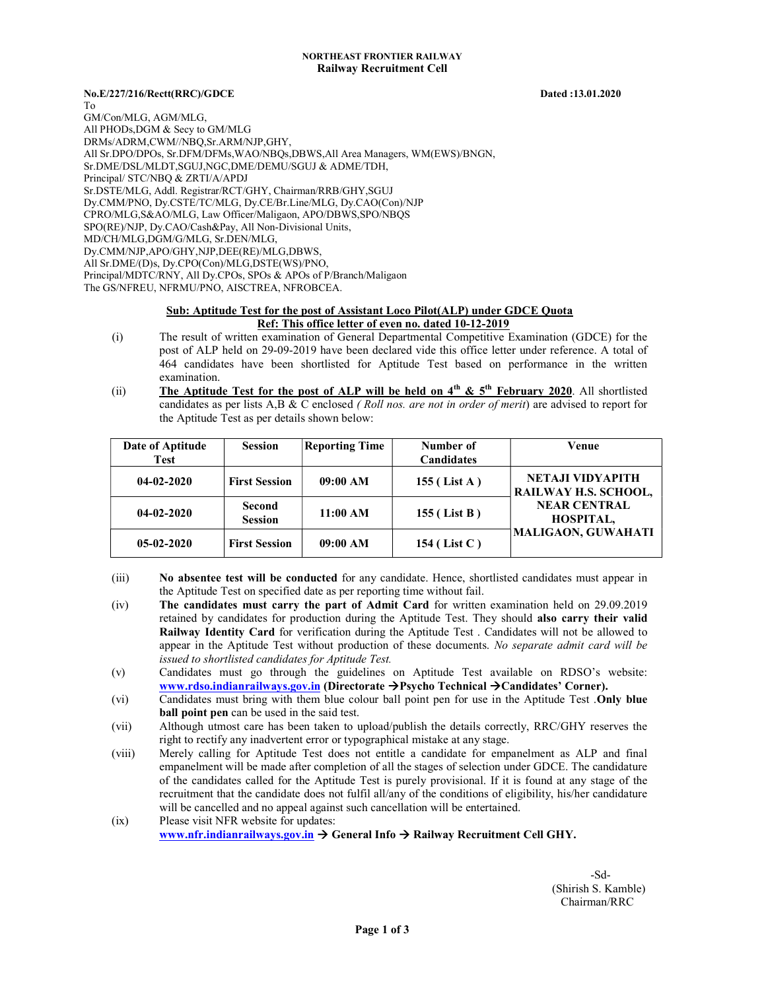## NORTHEAST FRONTIER RAILWAY Railway Recruitment Cell

## No.E/227/216/Rectt(RRC)/GDCE Dated :13.01.2020

To GM/Con/MLG, AGM/MLG, All PHODs,DGM & Secy to GM/MLG DRMs/ADRM,CWM//NBQ,Sr.ARM/NJP,GHY, All Sr.DPO/DPOs, Sr.DFM/DFMs,WAO/NBQs,DBWS,All Area Managers, WM(EWS)/BNGN, Sr.DME/DSL/MLDT,SGUJ,NGC,DME/DEMU/SGUJ & ADME/TDH, Principal/ STC/NBQ & ZRTI/A/APDJ Sr.DSTE/MLG, Addl. Registrar/RCT/GHY, Chairman/RRB/GHY,SGUJ Dy.CMM/PNO, Dy.CSTE/TC/MLG, Dy.CE/Br.Line/MLG, Dy.CAO(Con)/NJP CPRO/MLG,S&AO/MLG, Law Officer/Maligaon, APO/DBWS,SPO/NBQS SPO(RE)/NJP, Dy.CAO/Cash&Pay, All Non-Divisional Units, MD/CH/MLG,DGM/G/MLG, Sr.DEN/MLG, Dy.CMM/NJP,APO/GHY,NJP,DEE(RE)/MLG,DBWS, All Sr.DME/(D)s, Dy.CPO(Con)/MLG,DSTE(WS)/PNO, Principal/MDTC/RNY, All Dy.CPOs, SPOs & APOs of P/Branch/Maligaon The GS/NFREU, NFRMU/PNO, AISCTREA, NFROBCEA.

## Sub: Aptitude Test for the post of Assistant Loco Pilot(ALP) under GDCE Quota Ref: This office letter of even no. dated 10-12-2019

- (i) The result of written examination of General Departmental Competitive Examination (GDCE) for the post of ALP held on 29-09-2019 have been declared vide this office letter under reference. A total of 464 candidates have been shortlisted for Aptitude Test based on performance in the written examination.
- (ii) The Aptitude Test for the post of ALP will be held on  $4<sup>th</sup>$  &  $5<sup>th</sup>$  February 2020. All shortlisted candidates as per lists A,B & C enclosed (Roll nos. are not in order of merit) are advised to report for the Aptitude Test as per details shown below:

| Date of Aptitude<br><b>Test</b> | <b>Session</b>                  | <b>Reporting Time</b> | Number of<br><b>Candidates</b> | Venue                                    |
|---------------------------------|---------------------------------|-----------------------|--------------------------------|------------------------------------------|
| $04 - 02 - 2020$                | <b>First Session</b>            | 09:00 AM              | $155$ (List A)                 | NETAJI VIDYAPITH<br>RAILWAY H.S. SCHOOL, |
| $04 - 02 - 2020$                | <b>Second</b><br><b>Session</b> | 11:00 AM              | $155$ (List B)                 | <b>NEAR CENTRAL</b><br><b>HOSPITAL,</b>  |
| $05-02-2020$                    | <b>First Session</b>            | 09:00 AM              | $154$ (List C)                 | MALIGAON, GUWAHATI                       |

- (iii) No absentee test will be conducted for any candidate. Hence, shortlisted candidates must appear in the Aptitude Test on specified date as per reporting time without fail.
- (iv) The candidates must carry the part of Admit Card for written examination held on 29.09.2019 retained by candidates for production during the Aptitude Test. They should also carry their valid Railway Identity Card for verification during the Aptitude Test . Candidates will not be allowed to appear in the Aptitude Test without production of these documents. No separate admit card will be issued to shortlisted candidates for Aptitude Test.
- (v) Candidates must go through the guidelines on Aptitude Test available on RDSO's website: www.rdso.indianrailways.gov.in (Directorate  $\rightarrow$  Psycho Technical  $\rightarrow$  Candidates' Corner).
- (vi) Candidates must bring with them blue colour ball point pen for use in the Aptitude Test .Only blue ball point pen can be used in the said test.
- (vii) Although utmost care has been taken to upload/publish the details correctly, RRC/GHY reserves the right to rectify any inadvertent error or typographical mistake at any stage.
- (viii) Merely calling for Aptitude Test does not entitle a candidate for empanelment as ALP and final empanelment will be made after completion of all the stages of selection under GDCE. The candidature of the candidates called for the Aptitude Test is purely provisional. If it is found at any stage of the recruitment that the candidate does not fulfil all/any of the conditions of eligibility, his/her candidature will be cancelled and no appeal against such cancellation will be entertained.
- (ix) Please visit NFR website for updates: www.nfr.indianrailways.gov.in  $\rightarrow$  General Info  $\rightarrow$  Railway Recruitment Cell GHY.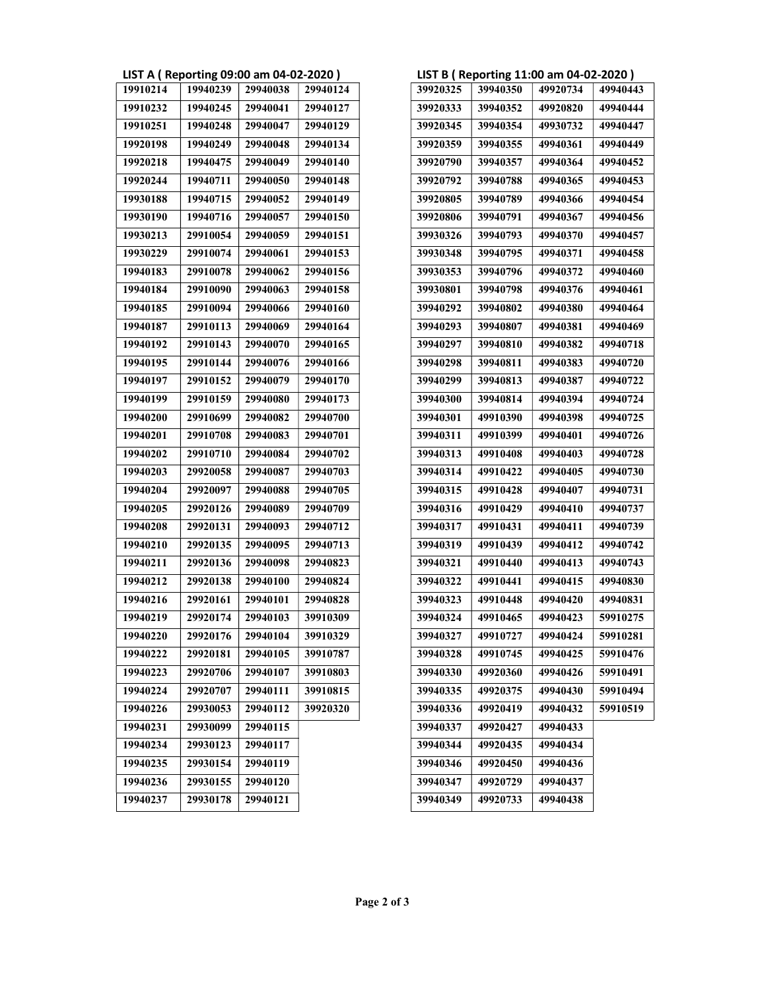|  | LIST A ( Reporting 09:00 am 04-02-2020 ) |  |
|--|------------------------------------------|--|
|--|------------------------------------------|--|

| 19910214 | 19940239 | 29940038 | 29940124 | 39920325 | 39940350 |
|----------|----------|----------|----------|----------|----------|
| 19910232 | 19940245 | 29940041 | 29940127 | 39920333 | 39940352 |
| 19910251 | 19940248 | 29940047 | 29940129 | 39920345 | 39940354 |
| 19920198 | 19940249 | 29940048 | 29940134 | 39920359 | 39940355 |
| 19920218 | 19940475 | 29940049 | 29940140 | 39920790 | 39940357 |
| 19920244 | 19940711 | 29940050 | 29940148 | 39920792 | 39940788 |
| 19930188 | 19940715 | 29940052 | 29940149 | 39920805 | 39940789 |
| 19930190 | 19940716 | 29940057 | 29940150 | 39920806 | 39940791 |
| 19930213 | 29910054 | 29940059 | 29940151 | 39930326 | 39940793 |
| 19930229 | 29910074 | 29940061 | 29940153 | 39930348 | 39940795 |
| 19940183 | 29910078 | 29940062 | 29940156 | 39930353 | 39940796 |
| 19940184 | 29910090 | 29940063 | 29940158 | 39930801 | 39940798 |
| 19940185 | 29910094 | 29940066 | 29940160 | 39940292 | 39940802 |
| 19940187 | 29910113 | 29940069 | 29940164 | 39940293 | 39940807 |
| 19940192 | 29910143 | 29940070 | 29940165 | 39940297 | 39940810 |
| 19940195 | 29910144 | 29940076 | 29940166 | 39940298 | 39940811 |
| 19940197 | 29910152 | 29940079 | 29940170 | 39940299 | 39940813 |
| 19940199 | 29910159 | 29940080 | 29940173 | 39940300 | 39940814 |
| 19940200 | 29910699 | 29940082 | 29940700 | 39940301 | 49910390 |
| 19940201 | 29910708 | 29940083 | 29940701 | 39940311 | 49910399 |
| 19940202 | 29910710 | 29940084 | 29940702 | 39940313 | 49910408 |
| 19940203 | 29920058 | 29940087 | 29940703 | 39940314 | 49910422 |
| 19940204 | 29920097 | 29940088 | 29940705 | 39940315 | 49910428 |
| 19940205 | 29920126 | 29940089 | 29940709 | 39940316 | 49910429 |
| 19940208 | 29920131 | 29940093 | 29940712 | 39940317 | 49910431 |
| 19940210 | 29920135 | 29940095 | 29940713 | 39940319 | 49910439 |
| 19940211 | 29920136 | 29940098 | 29940823 | 39940321 | 49910440 |
| 19940212 | 29920138 | 29940100 | 29940824 | 39940322 | 49910441 |
| 19940216 | 29920161 | 29940101 | 29940828 | 39940323 | 49910448 |
| 19940219 | 29920174 | 29940103 | 39910309 | 39940324 | 49910465 |
| 19940220 | 29920176 | 29940104 | 39910329 | 39940327 | 49910727 |
| 19940222 | 29920181 | 29940105 | 39910787 | 39940328 | 49910745 |
| 19940223 | 29920706 | 29940107 | 39910803 | 39940330 | 49920360 |
| 19940224 | 29920707 | 29940111 | 39910815 | 39940335 | 49920375 |
| 19940226 | 29930053 | 29940112 | 39920320 | 39940336 | 49920419 |
| 19940231 | 29930099 | 29940115 |          | 39940337 | 49920427 |
| 19940234 | 29930123 | 29940117 |          | 39940344 | 49920435 |
| 19940235 | 29930154 | 29940119 |          | 39940346 | 49920450 |
| 19940236 | 29930155 | 29940120 |          | 39940347 | 49920729 |
| 19940237 | 29930178 | 29940121 |          | 39940349 | 49920733 |

|          |          | LIST A (Reporting 09:00 am 04-02-2020) |          |
|----------|----------|----------------------------------------|----------|
| 19910214 | 19940239 | 29940038                               | 29940124 |
| 19910232 | 19940245 | 29940041                               | 29940127 |
| 19910251 | 19940248 | 29940047                               | 29940129 |
| 19920198 | 19940249 | 29940048                               | 29940134 |
| 19920218 | 19940475 | 29940049                               | 29940140 |
| 19920244 | 19940711 | 29940050                               | 29940148 |
| 19930188 | 19940715 | 29940052                               | 29940149 |
| 19930190 | 19940716 | 29940057                               | 29940150 |
| 19930213 | 29910054 | 29940059                               | 29940151 |
| 19930229 | 29910074 | 29940061                               | 29940153 |
| 19940183 | 29910078 | 29940062                               | 29940156 |
| 19940184 | 29910090 | 29940063                               | 29940158 |
| 19940185 | 29910094 | 29940066                               | 29940160 |
| 19940187 | 29910113 | 29940069                               | 29940164 |
| 19940192 | 29910143 | 29940070                               | 29940165 |
| 19940195 | 29910144 | 29940076                               | 29940166 |
| 19940197 | 29910152 | 29940079                               | 29940170 |
| 19940199 | 29910159 | 29940080                               | 29940173 |
| 19940200 | 29910699 | 29940082                               | 29940700 |
| 19940201 | 29910708 | 29940083                               | 29940701 |
|          |          |                                        |          |
| 19940202 | 29910710 | 29940084                               | 29940702 |
| 19940203 | 29920058 | 29940087                               | 29940703 |
| 19940204 | 29920097 | 29940088                               | 29940705 |
| 19940205 | 29920126 | 29940089                               | 29940709 |
| 19940208 | 29920131 | 29940093                               | 29940712 |
| 19940210 | 29920135 | 29940095                               | 29940713 |
| 19940211 | 29920136 | 29940098                               | 29940823 |
| 19940212 | 29920138 | 29940100                               | 29940824 |
| 19940216 | 29920161 | 29940101                               | 29940828 |
| 19940219 | 29920174 | 29940103                               | 39910309 |
| 19940220 | 29920176 | 29940104                               | 39910329 |
| 19940222 | 29920181 | 29940105                               | 39910787 |
| 19940223 | 29920706 | 29940107                               | 39910803 |
| 19940224 | 29920707 | 29940111                               | 39910815 |
| 19940226 | 29930053 | 29940112                               | 39920320 |
| 19940231 | 29930099 | 29940115                               |          |
| 19940234 | 29930123 | 29940117                               |          |
| 19940235 | 29930154 | 29940119                               |          |
| 19940236 |          |                                        |          |
|          | 29930155 | 29940120                               |          |
| 19940237 | 29930178 | 29940121                               |          |